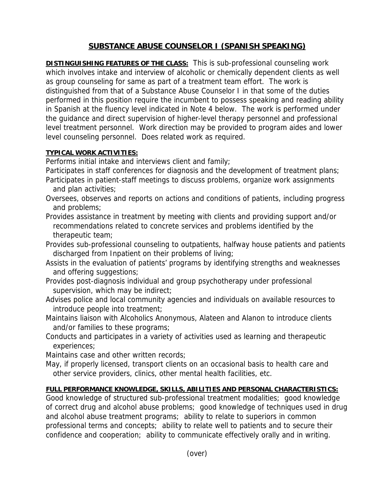## **SUBSTANCE ABUSE COUNSELOR I (SPANISH SPEAKING)**

**DISTINGUISHING FEATURES OF THE CLASS:** This is sub-professional counseling work which involves intake and interview of alcoholic or chemically dependent clients as well as group counseling for same as part of a treatment team effort. The work is distinguished from that of a Substance Abuse Counselor I in that some of the duties performed in this position require the incumbent to possess speaking and reading ability in Spanish at the fluency level indicated in Note 4 below. The work is performed under the guidance and direct supervision of higher-level therapy personnel and professional level treatment personnel. Work direction may be provided to program aides and lower level counseling personnel. Does related work as required.

## **TYPICAL WORK ACTIVITIES:**

Performs initial intake and interviews client and family;

Participates in staff conferences for diagnosis and the development of treatment plans;

- Participates in patient-staff meetings to discuss problems, organize work assignments and plan activities;
- Oversees, observes and reports on actions and conditions of patients, including progress and problems;
- Provides assistance in treatment by meeting with clients and providing support and/or recommendations related to concrete services and problems identified by the therapeutic team;
- Provides sub-professional counseling to outpatients, halfway house patients and patients discharged from Inpatient on their problems of living;
- Assists in the evaluation of patients' programs by identifying strengths and weaknesses and offering suggestions;
- Provides post-diagnosis individual and group psychotherapy under professional supervision, which may be indirect;
- Advises police and local community agencies and individuals on available resources to introduce people into treatment;
- Maintains liaison with Alcoholics Anonymous, Alateen and Alanon to introduce clients and/or families to these programs;
- Conducts and participates in a variety of activities used as learning and therapeutic experiences;

Maintains case and other written records;

May, if properly licensed, transport clients on an occasional basis to health care and other service providers, clinics, other mental health facilities, etc.

## **FULL PERFORMANCE KNOWLEDGE, SKILLS, ABILITIES AND PERSONAL CHARACTERISTICS:**

Good knowledge of structured sub-professional treatment modalities; good knowledge of correct drug and alcohol abuse problems; good knowledge of techniques used in drug and alcohol abuse treatment programs; ability to relate to superiors in common professional terms and concepts; ability to relate well to patients and to secure their confidence and cooperation; ability to communicate effectively orally and in writing.